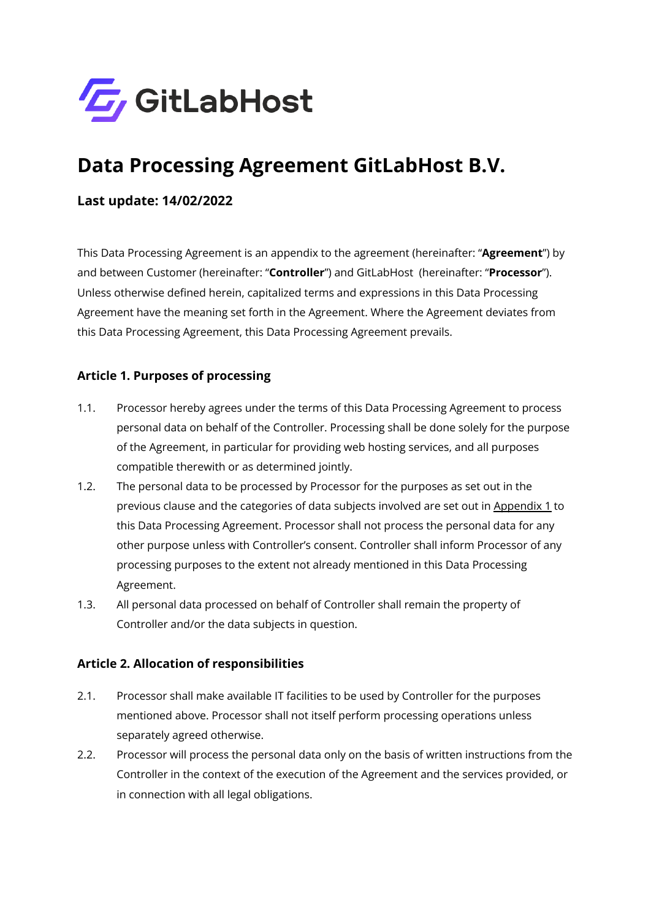

# **Data Processing Agreement GitLabHost B.V.**

#### **Last update: 14/02/2022**

This Data Processing Agreement is an appendix to the agreement (hereinafter: "**Agreement**") by and between Customer (hereinafter: "**Controller**") and GitLabHost (hereinafter: "**Processor**"). Unless otherwise defined herein, capitalized terms and expressions in this Data Processing Agreement have the meaning set forth in the Agreement. Where the Agreement deviates from this Data Processing Agreement, this Data Processing Agreement prevails.

#### **Article 1. Purposes of processing**

- 1.1. Processor hereby agrees under the terms of this Data Processing Agreement to process personal data on behalf of the Controller. Processing shall be done solely for the purpose of the Agreement, in particular for providing web hosting services, and all purposes compatible therewith or as determined jointly.
- 1.2. The personal data to be processed by Processor for the purposes as set out in the previous clause and the categories of data subjects involved are set out in Appendix 1 to this Data Processing Agreement. Processor shall not process the personal data for any other purpose unless with Controller's consent. Controller shall inform Processor of any processing purposes to the extent not already mentioned in this Data Processing Agreement.
- 1.3. All personal data processed on behalf of Controller shall remain the property of Controller and/or the data subjects in question.

#### **Article 2. Allocation of responsibilities**

- 2.1. Processor shall make available IT facilities to be used by Controller for the purposes mentioned above. Processor shall not itself perform processing operations unless separately agreed otherwise.
- 2.2. Processor will process the personal data only on the basis of written instructions from the Controller in the context of the execution of the Agreement and the services provided, or in connection with all legal obligations.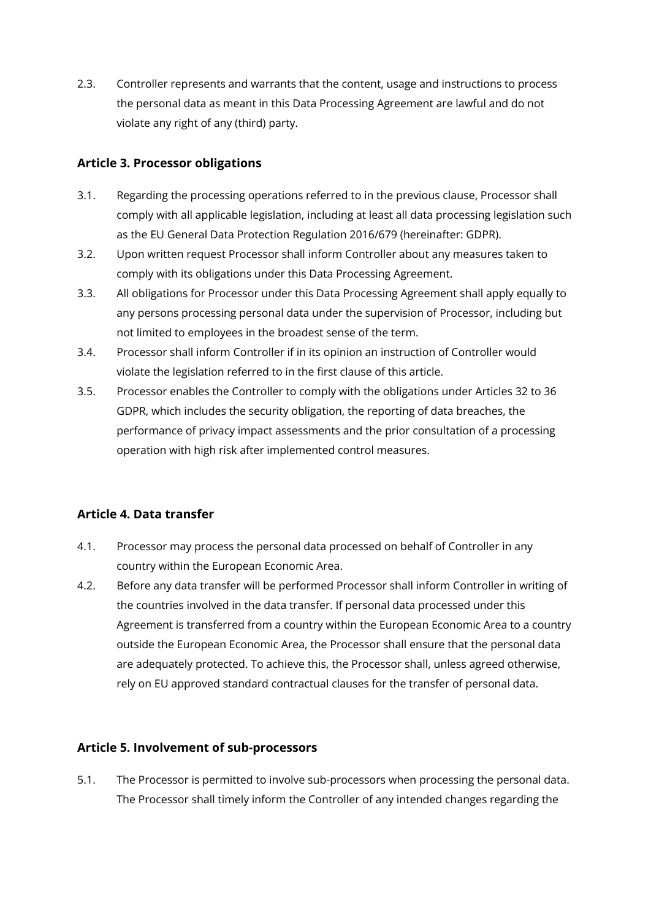2.3. Controller represents and warrants that the content, usage and instructions to process the personal data as meant in this Data Processing Agreement are lawful and do not violate any right of any (third) party.

#### **Article 3. Processor obligations**

- 3.1. Regarding the processing operations referred to in the previous clause, Processor shall comply with all applicable legislation, including at least all data processing legislation such as the EU General Data Protection Regulation 2016/679 (hereinafter: GDPR).
- 3.2. Upon written request Processor shall inform Controller about any measures taken to comply with its obligations under this Data Processing Agreement.
- 3.3. All obligations for Processor under this Data Processing Agreement shall apply equally to any persons processing personal data under the supervision of Processor, including but not limited to employees in the broadest sense of the term.
- 3.4. Processor shall inform Controller if in its opinion an instruction of Controller would violate the legislation referred to in the first clause of this article.
- 3.5. Processor enables the Controller to comply with the obligations under Articles 32 to 36 GDPR, which includes the security obligation, the reporting of data breaches, the performance of privacy impact assessments and the prior consultation of a processing operation with high risk after implemented control measures.

#### **Article 4. Data transfer**

- 4.1. Processor may process the personal data processed on behalf of Controller in any country within the European Economic Area.
- 4.2. Before any data transfer will be performed Processor shall inform Controller in writing of the countries involved in the data transfer. If personal data processed under this Agreement is transferred from a country within the European Economic Area to a country outside the European Economic Area, the Processor shall ensure that the personal data are adequately protected. To achieve this, the Processor shall, unless agreed otherwise, rely on EU approved standard contractual clauses for the transfer of personal data.

#### **Article 5. Involvement of sub-processors**

5.1. The Processor is permitted to involve sub-processors when processing the personal data. The Processor shall timely inform the Controller of any intended changes regarding the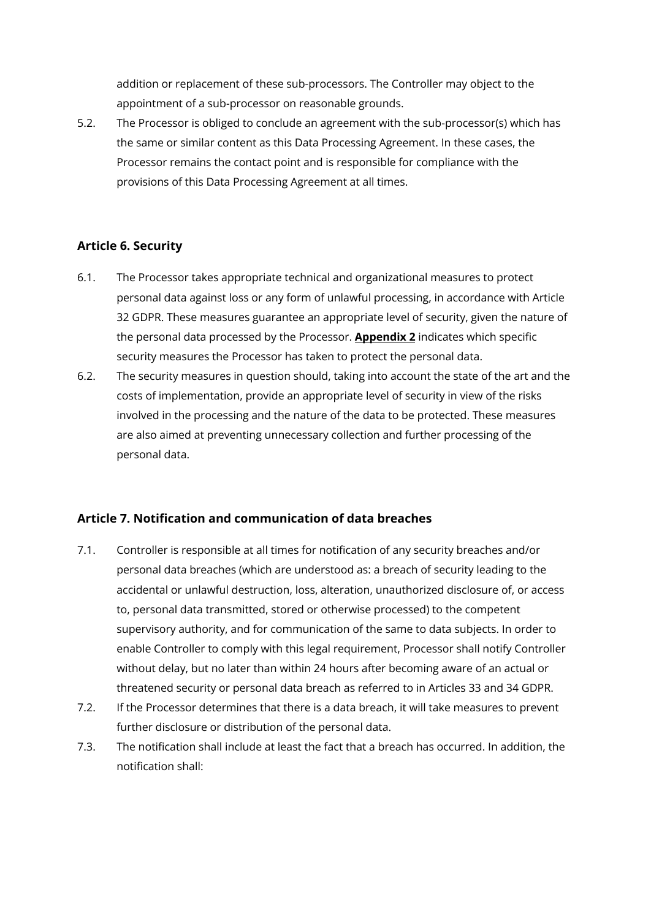addition or replacement of these sub-processors. The Controller may object to the appointment of a sub-processor on reasonable grounds.

5.2. The Processor is obliged to conclude an agreement with the sub-processor(s) which has the same or similar content as this Data Processing Agreement. In these cases, the Processor remains the contact point and is responsible for compliance with the provisions of this Data Processing Agreement at all times.

#### **Article 6. Security**

- 6.1. The Processor takes appropriate technical and organizational measures to protect personal data against loss or any form of unlawful processing, in accordance with Article 32 GDPR. These measures guarantee an appropriate level of security, given the nature of the personal data processed by the Processor. **Appendix 2** indicates which specific security measures the Processor has taken to protect the personal data.
- 6.2. The security measures in question should, taking into account the state of the art and the costs of implementation, provide an appropriate level of security in view of the risks involved in the processing and the nature of the data to be protected. These measures are also aimed at preventing unnecessary collection and further processing of the personal data.

#### **Article 7. Notification and communication of data breaches**

- 7.1. Controller is responsible at all times for notification of any security breaches and/or personal data breaches (which are understood as: a breach of security leading to the accidental or unlawful destruction, loss, alteration, unauthorized disclosure of, or access to, personal data transmitted, stored or otherwise processed) to the competent supervisory authority, and for communication of the same to data subjects. In order to enable Controller to comply with this legal requirement, Processor shall notify Controller without delay, but no later than within 24 hours after becoming aware of an actual or threatened security or personal data breach as referred to in Articles 33 and 34 GDPR.
- 7.2. If the Processor determines that there is a data breach, it will take measures to prevent further disclosure or distribution of the personal data.
- 7.3. The notification shall include at least the fact that a breach has occurred. In addition, the notification shall: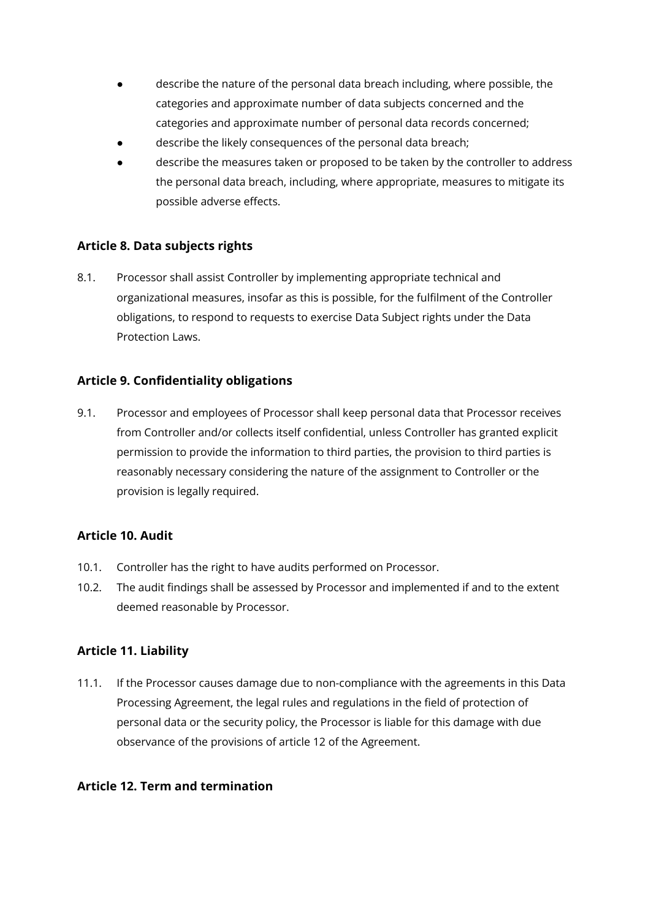- describe the nature of the personal data breach including, where possible, the categories and approximate number of data subjects concerned and the categories and approximate number of personal data records concerned;
- describe the likely consequences of the personal data breach;
- describe the measures taken or proposed to be taken by the controller to address the personal data breach, including, where appropriate, measures to mitigate its possible adverse effects.

#### **Article 8. Data subjects rights**

8.1. Processor shall assist Controller by implementing appropriate technical and organizational measures, insofar as this is possible, for the fulfilment of the Controller obligations, to respond to requests to exercise Data Subject rights under the Data Protection Laws.

#### **Article 9. Confidentiality obligations**

9.1. Processor and employees of Processor shall keep personal data that Processor receives from Controller and/or collects itself confidential, unless Controller has granted explicit permission to provide the information to third parties, the provision to third parties is reasonably necessary considering the nature of the assignment to Controller or the provision is legally required.

#### **Article 10. Audit**

- 10.1. Controller has the right to have audits performed on Processor.
- 10.2. The audit findings shall be assessed by Processor and implemented if and to the extent deemed reasonable by Processor.

#### **Article 11. Liability**

11.1. If the Processor causes damage due to non-compliance with the agreements in this Data Processing Agreement, the legal rules and regulations in the field of protection of personal data or the security policy, the Processor is liable for this damage with due observance of the provisions of article 12 of the Agreement.

#### **Article 12. Term and termination**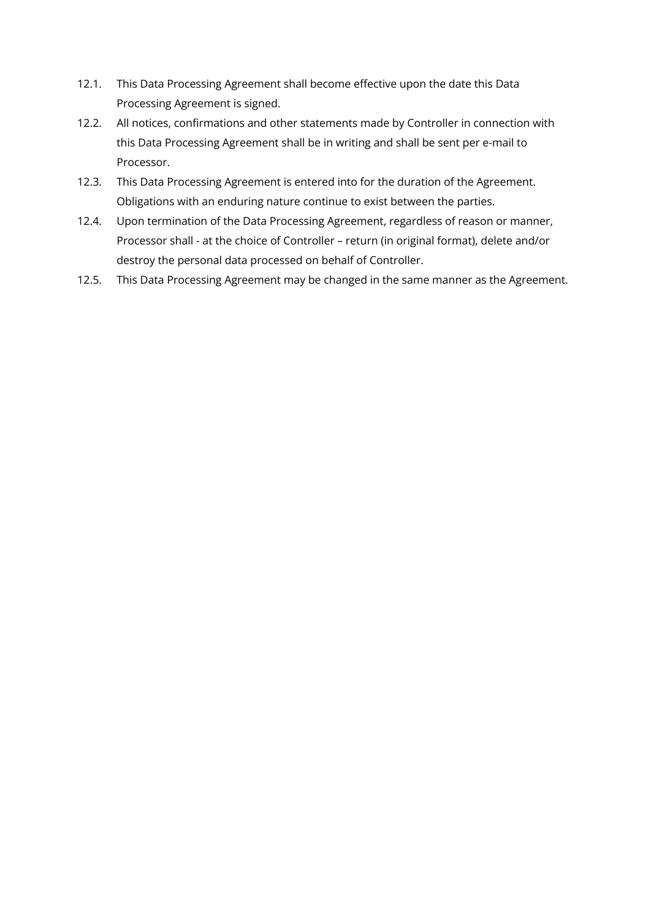- 12.1. This Data Processing Agreement shall become effective upon the date this Data Processing Agreement is signed.
- 12.2. All notices, confirmations and other statements made by Controller in connection with this Data Processing Agreement shall be in writing and shall be sent per e-mail to Processor.
- 12.3. This Data Processing Agreement is entered into for the duration of the Agreement. Obligations with an enduring nature continue to exist between the parties.
- 12.4. Upon termination of the Data Processing Agreement, regardless of reason or manner, Processor shall - at the choice of Controller – return (in original format), delete and/or destroy the personal data processed on behalf of Controller.
- 12.5. This Data Processing Agreement may be changed in the same manner as the Agreement.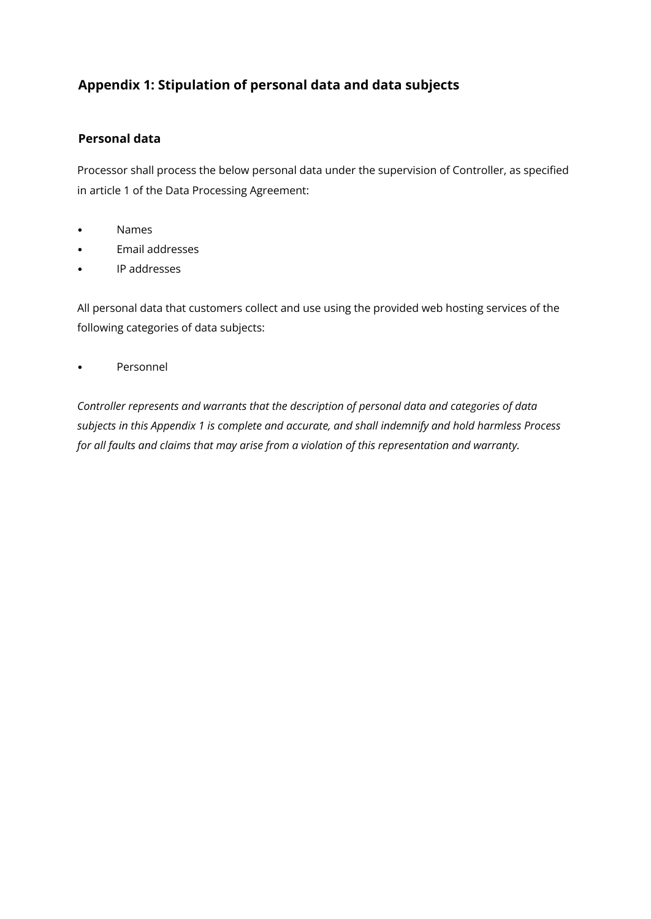## **Appendix 1: Stipulation of personal data and data subjects**

#### **Personal data**

Processor shall process the below personal data under the supervision of Controller, as specified in article 1 of the Data Processing Agreement:

- Names
- Email addresses
- IP addresses

All personal data that customers collect and use using the provided web hosting services of the following categories of data subjects:

• Personnel

*Controller represents and warrants that the description of personal data and categories of data subjects in this Appendix 1 is complete and accurate, and shall indemnify and hold harmless Process for all faults and claims that may arise from a violation of this representation and warranty.*